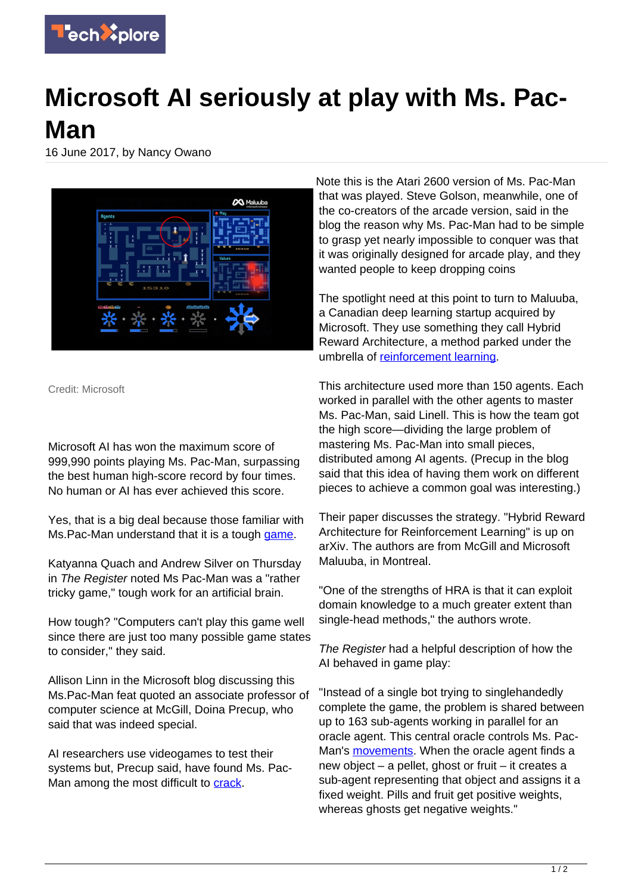

## **Microsoft AI seriously at play with Ms. Pac-Man**

16 June 2017, by Nancy Owano



Credit: Microsoft

Microsoft AI has won the maximum score of 999,990 points playing Ms. Pac-Man, surpassing the best human high-score record by four times. No human or AI has ever achieved this score.

Yes, that is a big deal because those familiar with Ms. Pac-Man understand that it is a tough [game](https://techxplore.com/tags/game/).

Katyanna Quach and Andrew Silver on Thursday in The Register noted Ms Pac-Man was a "rather tricky game," tough work for an artificial brain.

How tough? "Computers can't play this game well since there are just too many possible game states to consider," they said.

Allison Linn in the Microsoft blog discussing this Ms.Pac-Man feat quoted an associate professor of computer science at McGill, Doina Precup, who said that was indeed special.

AI researchers use videogames to test their systems but, Precup said, have found Ms. PacMan among the most difficult to [crack.](https://blogs.microsoft.com/next/2017/06/14/divide-conquer-microsoft-researchers-used-ai-master-ms-pac-man/)

Note this is the Atari 2600 version of Ms. Pac-Man that was played. Steve Golson, meanwhile, one of the co-creators of the arcade version, said in the blog the reason why Ms. Pac-Man had to be simple to grasp yet nearly impossible to conquer was that it was originally designed for arcade play, and they wanted people to keep dropping coins

The spotlight need at this point to turn to Maluuba, a Canadian deep learning startup acquired by Microsoft. They use something they call Hybrid Reward Architecture, a method parked under the umbrella of [reinforcement learning](https://techxplore.com/tags/reinforcement+learning/).

This architecture used more than 150 agents. Each worked in parallel with the other agents to master Ms. Pac-Man, said Linell. This is how the team got the high score—dividing the large problem of mastering Ms. Pac-Man into small pieces, distributed among AI agents. (Precup in the blog said that this idea of having them work on different pieces to achieve a common goal was interesting.)

Their paper discusses the strategy. "Hybrid Reward Architecture for Reinforcement Learning" is up on arXiv. The authors are from McGill and Microsoft Maluuba, in Montreal.

"One of the strengths of HRA is that it can exploit domain knowledge to a much greater extent than single-head methods," the authors wrote.

The Register had a helpful description of how the AI behaved in game play:

"Instead of a single bot trying to singlehandedly complete the game, the problem is shared between up to 163 sub-agents working in parallel for an oracle agent. This central oracle controls Ms. Pac-Man's [movements](http://www.theregister.co.uk/2017/06/15/microsoft_pac_man/). When the oracle agent finds a new object – a pellet, ghost or fruit – it creates a sub-agent representing that object and assigns it a fixed weight. Pills and fruit get positive weights, whereas ghosts get negative weights."